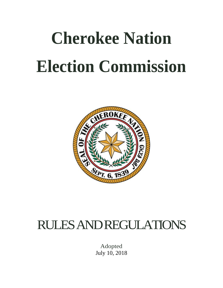# **Cherokee Nation Election Commission**



# RULES AND REGULATIONS

Adopted July 10, 2018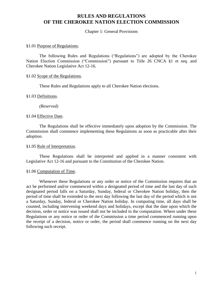#### Chapter 1: General Provisions

#### §1.01 Purpose of Regulations.

The following Rules and Regulations ("Regulations") are adopted by the Cherokee Nation Election Commission ("Commission") pursuant to Title 26 CNCA §1 et seq. and Cherokee Nation Legislative Act 12-16.

#### §1.02 Scope of the Regulations.

These Rules and Regulations apply to all Cherokee Nation elections.

#### §1.03 Definitions.

*(Reserved)*

#### §1.04 Effective Date.

The Regulations shall be effective immediately upon adoption by the Commission. The Commission shall commence implementing these Regulations as soon as practicable after their adoption.

#### §1.05 Rule of Interpretation.

These Regulations shall be interpreted and applied in a manner consistent with Legislative Act 12-16 and pursuant to the Constitution of the Cherokee Nation.

#### §1.06 Computation of Time.

Whenever these Regulations or any order or notice of the Commission requires that an act be performed and/or commenced within a designated period of time and the last day of such designated period falls on a Saturday, Sunday, federal or Cherokee Nation holiday, then the period of time shall be extended to the next day following the last day of the period which is not a Saturday, Sunday, federal or Cherokee Nation holiday. In computing time, all days shall be counted, including intervening weekend days and holidays, except that the date upon which the decision, order or notice was issued shall not be included in the computation. Where under these Regulations or any notice or order of the Commission a time period commenced running upon the receipt of a decision, notice or order, the period shall commence running on the next day following such receipt.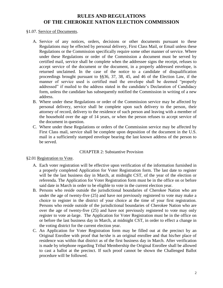#### §1.07. Service of Documents.

- A. Service of any notices, orders, decisions or other documents pursuant to these Regulations may be effected by personal delivery, First Class Mail, or Email unless these Regulations or the Commission specifically require some other manner of service. Where under these Regulations or order of the Commission a document must be served by certified mail, service shall be complete when the addressee signs the receipt, refuses to accept service of the document or the document, in a properly addressed envelope, is returned unclaimed. In the case of the notice to a candidate of disqualification proceedings brought pursuant to §§36, 37, 38, 45, and 46 of the Election Law, if the manner of service used is certified mail the envelope shall be deemed "properly addressed" if mailed to the address stated in the candidate's Declaration of Candidacy form, unless the candidate has subsequently notified the Commission in writing of a new address.
- B. Where under these Regulations or order of the Commission service may be affected by personal delivery, service shall be complete upon such delivery to the person, their attorney of record, delivery to the residence of such person and leaving with a member of the household over the age of 14 years, or when the person refuses to accept service of the document in question.
- C. Where under these Regulations or orders of the Commission service may be affected by First Class mail, service shall be complete upon deposition of the document in the U.S. mail in a sufficiently stamped envelope bearing the last known address of the person to be served.

#### CHAPTER 2: Substantive Provision

#### §2.01 Registration to Vote.

- A. Each voter registration will be effective upon verification of the information furnished in a properly completed Application for Voter Registration form. The last date to register will be the last business day in March, at midnight CST, of the year of the election or referenda. The Application for Voter Registration form must be in the office on or before said date in March in order to be eligible to vote in the current election year.
- B. Persons who reside outside the jurisdictional boundaries of Cherokee Nation who are under the age of twenty-five (25) and have not previously registered to vote may make a choice to register in the district of your choice at the time of your first registration. Persons who reside outside of the jurisdictional boundaries of Cherokee Nation who are over the age of twenty-five (25) and have not previously registered to vote may only register to vote at-large. The Application for Voter Registration must be in the office on or before the last business day in March, at midnight CST, in order to effect a change in the voting district for the current election year.
- C. An Application for Voter Registration form may be filled out at the precinct by an Original Enrollee with proof that he/she is an original enrollee and that his/her place of residence was within that district as of the first business day in March. After verification is made by telephone regarding Tribal Membership the Original Enrollee shall be allowed to cast a ballot at the precinct. If such proof cannot be shown the Challenged Ballot procedure will be followed.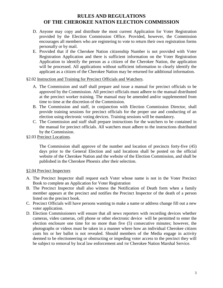- D. Anyone may copy and distribute the most current Application for Voter Registration provided by the Election Commission Office. Provided, however, the Commission encourages all members who are registering to vote to return their own registration forms personally or by mail.
- E. Provided that if the Cherokee Nation citizenship Number is not provided with Voter Registration Application and there is sufficient information on the Voter Registration Application to identify the person as a citizen of the Cherokee Nation, the application will be processed. All applications without sufficient information to clearly identify the applicant as a citizen of the Cherokee Nation may be returned for additional information.

§2.02 Instruction and Training for Precinct Officials and Watchers.

- A. The Commission and staff shall prepare and issue a manual for precinct officials to be approved by the Commission. All precinct officials must adhere to the manual distributed at the precinct worker training. The manual may be amended and/or supplemented from time to time at the discretion of the Commission.
- B. The Commission and staff, in conjunction with Election Commission Director, shall provide training sessions for precinct officials for the proper use and conducting of an election using electronic voting devices. Training sessions will be mandatory.
- C. The Commission and staff shall prepare instructions for the watchers to be contained in the manual for precinct officials. All watchers must adhere to the instructions distributed by the Commission.
- §2.03 Precinct Locations.

The Commission shall approve of the number and location of precincts forty-five (45) days prior to the General Election and said locations shall be posted on the official website of the Cherokee Nation and the website of the Election Commission, and shall be published in the Cherokee Phoenix after their selection.

#### §2.04 Precinct Inspectors

- A. The Precinct Inspector shall request each Voter whose name is not in the Voter Precinct Book to complete an Application for Voter Registration
- B. The Precinct Inspector shall also witness the Notification of Death form when a family member appears at the precinct and notifies the Precinct Inspector of the death of a person listed on the precinct book.
- C. Precinct Officials will have persons wanting to make a name or address change fill out a new voter application.
- D. Election Commissioners will ensure that all news reporters with recording devices whether cameras, video cameras, cell phone or other electronic device will be permitted to enter the election enclosure one time for no more than five (5) consecutive minutes; however, the photographs or videos must be taken in a manner where how an individual Cherokee citizen casts his or her ballot is not revealed. Should members of the Media engage in activity deemed to be electioneering or obstructing or impeding voter access to the precinct they will be subject to removal by local law enforcement and /or Cherokee Nation Marshal Service.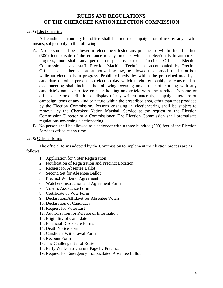#### §2.05 Electioneering.

All candidates running for office shall be free to campaign for office by any lawful means, subject only to the following:

- A. "No person shall be allowed to electioneer inside any precinct or within three hundred (300) feet outside of the entrance to any precinct while an election is in authorized progress, nor shall any person or persons, except Precinct Officials Election Commissioners and staff, Election Machine Technicians accompanied by Precinct Officials, and other persons authorized by law, be allowed to approach the ballot box while an election is in progress. Prohibited activities within the prescribed area by a candidate or other persons on election day which might reasonably be construed as electioneering shall include the following: wearing any article of clothing with any candidate's name or office on it or holding any article with any candidate's name or office on it: or distribution or display of any written materials, campaign literature or campaign items of any kind or nature within the prescribed area, other than that provided by the Election Commission. Persons engaging in electioneering shall be subject to removal by the Cherokee Nation Marshall Service at the request of the Election Commission Director or a Commissioner. The Election Commission shall promulgate regulations governing electioneering."
- B. No person shall be allowed to electioneer within three hundred (300) feet of the Election Services office at any time.

#### §2.06 Official forms

The official forms adopted by the Commission to implement the election process are as follows:

- 1. Application for Voter Registration
- 2. Notification of Registration and Precinct Location
- 3. Request for Absentee Ballot
- 4. Second Set for Absentee Ballot
- 5. Precinct Workers' Agreement
- 6. Watchers Instruction and Agreement Form
- 7. Voter's Assistance Form
- 8. Certificate of Vote Form
- 9. Declaration/Affidavit for Absentee Voters
- 10. Declaration of Candidacy
- 11. Request for Voter List
- 12. Authorization for Release of Information
- 13. Eligibility of Candidate
- 13. Financial Disclosure Forms
- 14. Death Notice Form
- 15. Candidate Withdrawal Form
- 16. Recount Form
- 17. The Challenge Ballot Roster
- 18. Early Walk-in Signature Page by Precinct
- 19. Request for Emergency Incapacitated Absentee Ballot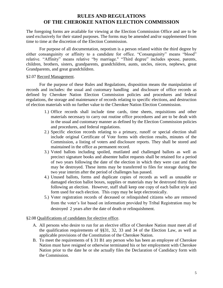The foregoing forms are available for viewing at the Election Commission Office and are to be used exclusively for their stated purposes. The forms may be amended and/or supplemented from time to time at the discretion of the Election Commission.

For purpose of all documentation, nepotism is a person related within the third degree by either consanguinity or affinity to a candidate for office. "Consanguinity" means "blood" relative. "Affinity" means relative "by marriage." "Third degree" includes spouse, parents, children, brothers, sisters, grandparents, grandchildren, aunts, uncles, nieces, nephews, great Grandparents, and great grandchildren.

#### §2.07 Record Management.

For the purpose of these Rules and Regulations, disposition means the manipulation of records and includes: the usual and customary handling and disclosure of office records as defined by Cherokee Nation Election Commission policies and procedures and federal regulations, the storage and maintenance of records relating to specific elections, and destruction of election materials with no further value to the Cherokee Nation Election Commission.

- 1.) Office records shall include time cards, time sheets, requisitions and other materials necessary to carry out routine office procedures and are to be dealt with in the usual and customary manner as defined by the Election Commission policies and procedures, and federal regulations.
- 2.) Specific election records relating to a primary, runoff or special election shall include original Certificate of Vote forms with election results, minutes of the Commission, a listing of voters and disclosure reports. They shall be stored and maintained in the office as permanent record.
- 3.) Voted ballots including spoiled, mutilated and challenged ballots as well as precinct signature books and absentee ballot requests shall be retained for a period of two years following the date of the election in which they were cast and then may be destroyed. These items may be transferred to files for storage during the two year interim after the period of challenges has passed.
- 4.) Unused ballots, forms and duplicate copies of records as well as unusable or damaged election ballot boxes, supplies or materials may be destroyed thirty days following an election. However, staff shall keep one copy of each ballot style and form used for each election. This copy may be kept electronically.
- 5.) Voter registration records of deceased or relinquished citizens who are removed from the voter's list based on information provided by Tribal Registration may be destroyed 2 years after the date of death or relinquishment.

#### §2.08 Qualifications of candidates for elective office.

- A. All persons who desire to run for an elective office of Cherokee Nation must meet all of the qualification requirements of §§31, 32, 33 and 34 of the Election Law, as well as applicable provisions of the Constitution of the Cherokee Nation.
- B. To meet the requirements of § 31 B1 any person who has been an employee of Cherokee Nation must have resigned or otherwise terminated his or her employment with Cherokee Nation prior to the date he or she actually files the Declaration of Candidacy form with the Commission.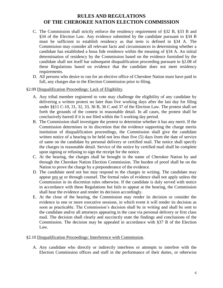- C. The Commission shall strictly enforce the residency requirement of §32 B, §33 B and §34 of the Election Law. Any evidence submitted by the candidate pursuant to §34 B must be sufficient to establish residency as that term is defined in §34 A. The Commission may consider all relevant facts and circumstances in determining whether a candidate has established a bona fide residence within the meaning of §34 A. An initial determination of residency by the Commission based on the evidence furnished by the candidate shall not itself bar subsequent disqualification proceeding pursuant to §2.08 of these Regulations based on evidence that the candidate does not meet residency requirements.
- D. All persons who desire to run for an elective office of Cherokee Nation must have paid in full, any charges due to the Election Commission prior to filing.

#### §2.09 Disqualification Proceedings: Lack of Eligibility.

- A. Any tribal member registered to vote may challenge the eligibility of any candidate by delivering a written protest no later than five working days after the last day for filing under §§11 C-10, 31, 32, 33, 36 B, 36 C and 37 of the Election Law. The protest shall set forth the grounds of the contest in reasonable detail. In all cases, the protest shall be conclusively barred if it is not filed within the 5 working day period.
- B. The Commission shall investigate the protest to determine whether it has any merit. If the Commission determines in its discretion that the evidence supporting the charge merits institution of disqualification proceedings, the Commission shall give the candidate written notice of a hearing to be held not less than five (5) days from the date of service of same on the candidate by personal delivery or certified mail. The notice shall specify the charges in reasonable detail. Service of the notice by certified mail shall be complete upon signing or refusing to sign the receipt for the notice.
- C. At the hearing, the charges shall be brought in the name of Cherokee Nation by and through the Cherokee Nation Election Commission. The burden of proof shall be on the Nation to prove the charge by a preponderance of the evidence.
- D. The candidate need not but may respond to the charges in writing. The candidate may appear pro se or through counsel. The formal rules of evidence shall not apply unless the Commission in its discretion rules otherwise. If the candidate is duly served with notice in accordance with these Regulations but fails to appear at the hearing, the Commission shall hear the evidence and render its decision accordingly.
- E. At the close of the hearing, the Commission may render its decision or consider the evidence in one or more executive sessions, in which event it will render its decision as soon as practicable. The Commission's decision shall be in writing and shall be sent to the candidate and/or all attorneys appearing in the case via personal delivery or first class mail. The decision shall clearly and succinctly state the findings and conclusions of the Commission. The decision may be appealed in accordance with §37 B of the Election Law.

#### §2.10 Disqualification Proceedings: Interference with Commission.

A. Any candidate who directly or indirectly interferes or attempts to interfere with the Election Commission offices and staff in the performance of their duties, or otherwise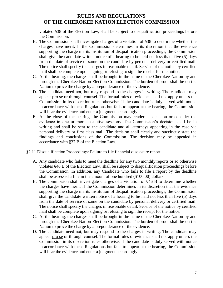violated §38 of the Election Law, shall be subject to disqualification proceedings before the Commission.

- B. The Commission shall investigate charges of a violation of §38 to determine whether the charges have merit. If the Commission determines in its discretion that the evidence supporting the charge merits institution of disqualification proceedings, the Commission shall give the candidate written notice of a hearing to be held not less than five (5) days from the date of service of same on the candidate by personal delivery or certified mail. The notice shall specify the charges in reasonable detail. Service of the notice by certified mail shall be complete upon signing or refusing to sign the receipt for the notice.
- C. At the hearing, the charges shall be brought in the name of the Cherokee Nation by and through the Cherokee Nation Election Commission. The burden of proof shall be on the Nation to prove the charge by a preponderance of the evidence.
- D. The candidate need not, but may respond to the charges in writing. The candidate may appear pro se or through counsel. The formal rules of evidence shall not apply unless the Commission in its discretion rules otherwise. If the candidate is duly served with notice in accordance with these Regulations but fails to appear at the hearing, the Commission will hear the evidence and enter a judgment accordingly.
- E. At the close of the hearing, the Commission may render its decision or consider the evidence in one or more executive sessions. The Commission's decision shall be in writing and shall be sent to the candidate and all attorneys appearing in the case via personal delivery or first class mail. The decision shall clearly and succinctly state the findings and conclusions of the Commission. The decision may be appealed in accordance with §37 B of the Election Law.

#### §2.11 Disqualification Proceedings: Failure to file financial disclosure report.

- A. Any candidate who fails to meet the deadline for any two monthly reports or so otherwise violates §46 B of the Election Law, shall be subject to disqualification proceedings before the Commission. In addition, any Candidate who fails to file a report by the deadline shall be assessed a fine in the amount of one hundred (\$100.00) dollars.
- B. The commission shall investigate charges of a violation of §46 B to determine whether the charges have merit. If the Commission determines in its discretion that the evidence supporting the charge merits institution of disqualification proceedings, the Commission shall give the candidate written notice of a hearing to be held not less than five (5) days from the date of service of same on the candidate by personal delivery or certified mail. The notice shall specify the charges in reasonable detail. Service of the notice by certified mail shall be complete upon signing or refusing to sign the receipt for the notice.
- C. At the hearing, the charges shall be brought in the name of the Cherokee Nation by and through the Cherokee Nation Election Commission. The burden of proof shall be on the Nation to prove the charge by a preponderance of the evidence.
- D. The candidate need not, but may respond to the charges in writing. The candidate may appear pro se or through counsel. The formal rules of evidence shall not apply unless the Commission in its discretion rules otherwise. If the candidate is duly served with notice in accordance with these Regulations but fails to appear at the hearing, the Commission will hear the evidence and enter a judgment accordingly.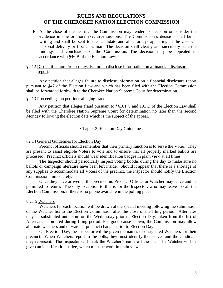E. At the close of the hearing, the Commission may render its decision or consider the evidence in one or more executive sessions. The Commission's decision shall be in writing and shall be sent to the candidate and all attorneys appearing in the case via personal delivery or first class mail. The decision shall clearly and succinctly state the findings and conclusions of the Commission. The decision may be appealed in accordance with §46 B of the Election Law.

#### §2.12 Disqualification Proceedings: Failure to disclose information on a financial disclosure report.

Any petition that alleges failure to disclose information on a financial disclosure report pursuant to §47 of the Election Law and which has been filed with the Election Commission shall be forwarded forthwith to the Cherokee Nation Supreme Court for determination.

#### §2.13 Proceedings on petitions alleging fraud.

Any petition that alleges fraud pursuant to §§101 C and 101 D of the Election Law shall be filed with the Cherokee Nation Supreme Court for determination no later than the second Monday following the election date which is the subject of the appeal.

Chapter 3: Election Day Guidelines

#### §2.14 General Guidelines for Election Day

Precinct officials should remember that their primary function is to serve the Voter. They are present to assist eligible Voters to vote and to ensure that all properly marked ballots are processed. Precinct officials should wear identification badges in plain view at all times.

The Inspector should periodically inspect voting booths during the day to make sure no ballots or campaign literature have been left inside. Should it appear that there is a shortage of any supplies to accommodate all Voters of the precinct, the Inspector should notify the Election Commission immediately.

Once they have arrived at the precinct, no Precinct Official or Watcher may leave and be permitted to return. The only exception to this is for the Inspector, who may leave to call the Election Commission, if there is no phone available in the polling place.

#### § 2.15 Watchers

Watchers for each location will be drawn at the special meeting following the submission of the Watcher list to the Election Commission after the close of the filing period. Alternates may be substituted until 5pm on the Wednesday prior to Election Day, taken from the list of Alternates submitted during filing period. For good cause shown, the Commission may allow alternate watchers and or watcher precinct changes prior to Election Day.

On Election Day, the Inspector will be given the names of designated Watchers for their precinct. When Watchers report to the polls, they must identify themselves and the candidate they represent. The Inspector will mark the Watcher's name off the list. The Watcher will be given an identification badge, which must be worn in plain view.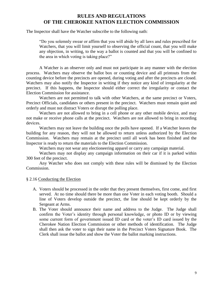The Inspector shall have the Watcher subscribe to the following oath:

"Do you solemnly swear or affirm that you will abide by all laws and rules prescribed for Watchers, that you will limit yourself to observing the official count, that you will make any objection, in writing, to the way a ballot is counted and that you will be confined to the area in which voting is taking place?"

A Watcher is an observer only and must not participate in any manner with the election process. Watchers may observe the ballot box or counting device and all printouts from the counting device before the precincts are opened, during voting and after the precincts are closed. Watchers may also notify the Inspector in writing if they notice any kind of irregularity at the precinct. If this happens, the Inspector should either correct the irregularity or contact the Election Commission for assistance.

Watchers are not permitted to talk with other Watchers, at the same precinct or Voters, Precinct Officials, candidates or others present in the precinct. Watchers must remain quiet and orderly and must not distract Voters or disrupt the polling place.

Watchers are not allowed to bring in a cell phone or any other mobile device, and may not make or receive phone calls at the precinct. Watchers are not allowed to bring in recording devices.

Watchers may not leave the building once the polls have opened. If a Watcher leaves the building for any reason, they will not be allowed to return unless authorized by the Election Commission. Watchers may remain at the precinct until all work has been finished and the Inspector is ready to return the materials to the Election Commission.

Watchers may not wear any electioneering apparel or carry any campaign material.

Watchers may not display any campaign information on their car if it is parked within 300 feet of the precinct.

Any Watcher who does not comply with these rules will be dismissed by the Election Commission.

#### § 2.16 Conducting the Election

- A. Voters should be processed in the order that they present themselves, first come, and first served. At no time should there be more than one Voter in each voting booth. Should a line of Voters develop outside the precinct, the line should be kept orderly by the Sergeant at Arms.
- B. The Voter should announce their name and address to the Judge. The Judge shall confirm the Voter's identity through personal knowledge, or photo ID or by viewing some current form of government issued ID card or the voter's ID card issued by the Cherokee Nation Election Commission or other methods of identification. The Judge shall then ask the voter to sign their name in the Precinct Voters Signature Book. The Clerk shall issue the ballot and show the Voter the ballot marking instructions.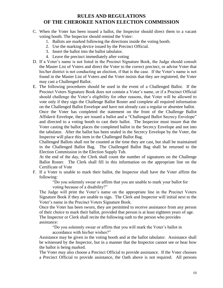- C. When the Voter has been issued a ballot, the Inspector should direct them to a vacant voting booth. The Inspector should remind the Voter:
	- 1. Ballots are marked following the directions inside the voting booth.
	- 2. Use the marking device issued by the Precinct Official.
	- 3. Insert the ballot into the ballot tabulator.
	- 4. Leave the precinct immediately after voting
- D. If a Voter's name is not listed in the Precinct Signature Book, the Judge should consult the Master List of Voters and direct the Voter to the correct precinct, or advise Voter that his/her district is not conducting an election, if that is the case. If the Voter's name is not found in the Master List of Voters and the Voter insists that they are registered, the Voter may cast a Challenged Ballot.
- E. The following procedures should be used in the event of a Challenged Ballot. If the Precinct Voters Signature Book does not contain a Voter's name, or if a Precinct Official should challenge the Voter's eligibility for other reasons, that Voter will be allowed to vote only if they sign the Challenge Ballot Roster and complete all required information on the Challenged Ballot Envelope and have not already cast a regular or absentee ballot.

Once the Voter has completed the statement on the front of the Challenge Ballot Affidavit Envelope, they are issued a ballot and a "Challenged Ballot Secrecy Envelope" and directed to a voting booth to cast their ballot. The Inspector must insure that the Voter casting the ballot places the completed ballot in the Secrecy Envelope and not into the tabulator. After the ballot has been sealed in the Secrecy Envelope by the Voter, the Inspector will place this item in the Challenged Ballot Bag.

Challenged Ballots shall not be counted at the time they are cast, but shall be maintained in the Challenged Ballot Bag. The Challenged Ballot Bag shall be returned to the Election Commission in the Election Supply Tub.

At the end of the day, the Clerk shall count the number of signatures on the Challenge Ballot Roster. The Clerk shall fill in this information on the appropriate line on the Certificate of Vote

F. If a Voter is unable to mark their ballot, the Inspector shall have the Voter affirm the following:

> "Do you solemnly swear or affirm that you are unable to mark your ballot for voting because of a disability?"

The Judge will print the Voter's name on the appropriate line in the Precinct Voters Signature Book if they are unable to sign. The Clerk and Inspector will initial next to the Voter's name in the Precinct Voters Signature Book.

Once the Voter has been sworn, they are permitted to receive assistance from any person of their choice to mark their ballot, provided that person is at least eighteen years of age.

The Inspector or Clerk shall recite the following oath to the person who provides assistance:

"Do you solemnly swear or affirm that you will mark the Voter's ballot in accordance with his/her wishes?"

Assistance may be given in the voting booth and at the ballot tabulator. Assistance shall be witnessed by the Inspector, but in a manner that the Inspector cannot see or hear how the ballot is being marked.

The Voter may also choose a Precinct Official to provide assistance. If the Voter chooses a Precinct Official to provide assistance, the Oath above is not required. All persons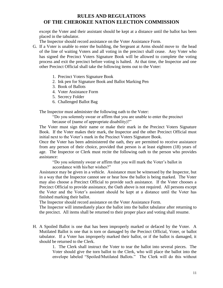except the Voter and their assistant should be kept at a distance until the ballot has been placed in the tabulator.

The Inspector should record assistance on the Voter Assistance Form.

- G. If a Voter is unable to enter the building, the Sergeant at Arms should move to the head of the line of waiting Voters and all voting in the precinct shall cease. Any Voter who has signed the Precinct Voters Signature Book will be allowed to complete the voting process and exit the precinct before voting is halted. At that time, the Inspector and one other Precinct Official shall take the following items out to the Voter:
	- 1. Precinct Voters Signature Book
	- 2. Ink pen for Signature Book and Ballot Marking Pen
	- 3. Book of Ballots
	- 4. Voter Assistance Form
	- 5. Secrecy Folder
	- 6. Challenged Ballot Bag

The Inspector must administer the following oath to the Voter:

"Do you solemnly swear or affirm that you are unable to enter the precinct because of (name of appropriate disability)?"

The Voter must sign their name or make their mark in the Precinct Voters Signature Book. If the Voter makes their mark, the Inspector and the other Precinct Official must initial next to the Voter's mark in the Precinct Voters Signature Book.

Once the Voter has been administered the oath, they are permitted to receive assistance from any person of their choice, provided that person is at least eighteen (18) years of age. The Inspector or Clerk must recite the following oath to the person who provides assistance:

"Do you solemnly swear or affirm that you will mark the Voter's ballot in

accordance with his/her wishes?"

Assistance may be given in a vehicle. Assistance must be witnessed by the Inspector, but in a way that the Inspector cannot see or hear how the ballot is being marked. The Voter may also choose a Precinct Official to provide such assistance. If the Voter chooses a Precinct Official to provide assistance, the Oath above is not required. All persons except the Voter and the Voter's assistant should be kept at a distance until the Voter has finished marking their ballot.

The Inspector should record assistance on the Voter Assistance Form.

The Inspector will immediately place the ballot into the ballot tabulator after returning to the precinct. All items shall be returned to their proper place and voting shall resume.

H. A Spoiled Ballot is one that has been improperly marked or defaced by the Voter. A Mutilated Ballot is one that is torn or damaged by the Precinct Official, Voter, or ballot tabulator. If a Voter has improperly marked their ballot, or if the ballot is damaged, it should be returned to the Clerk.

> 1. The Clerk shall instruct the Voter to tear the ballot into several pieces. The Voter should give the torn ballot to the Clerk, who will place the ballot into the envelope labeled "Spoiled/Mutilated Ballots." The Clerk will do this without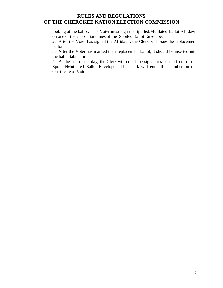looking at the ballot. The Voter must sign the Spoiled/Mutilated Ballot Affidavit on one of the appropriate lines of the Spoiled Ballot Envelope.

2. After the Voter has signed the Affidavit, the Clerk will issue the replacement ballot.

3. After the Voter has marked their replacement ballot, it should be inserted into the ballot tabulator.

4. At the end of the day, the Clerk will count the signatures on the front of the Spoiled/Mutilated Ballot Envelope. The Clerk will enter this number on the Certificate of Vote.